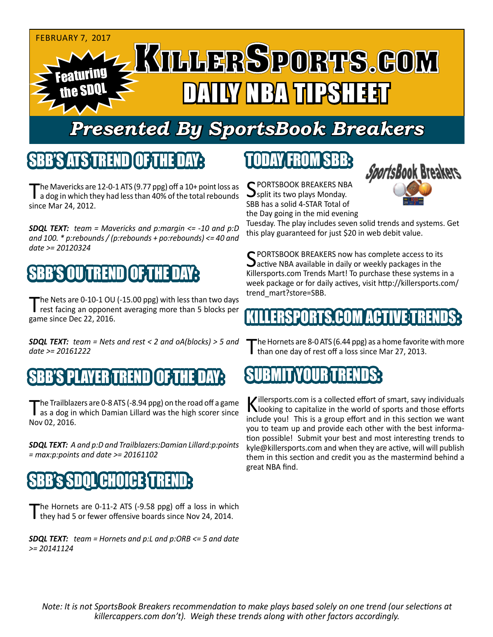

## *Presented By SportsBook Breakers*

#### SBB'S ATS TREND

The Mavericks are 12-0-1 ATS (9.77 ppg) off a 10+ point loss as<br>a dog in which they had less than 40% of the total rebounds since Mar 24, 2012.

*SDQL TEXT: team = Mavericks and p:margin <= -10 and p:D and 100. \* p:rebounds / (p:rebounds + po:rebounds) <= 40 and date >= 20120324*

### BB'S OU TREND I OF TH

The Nets are 0-10-1 OU (-15.00 ppg) with less than two days rest facing an opponent averaging more than 5 blocks per game since Dec 22, 2016.

*SDQL TEXT: team = Nets and rest < 2 and oA(blocks) > 5 and date >= 20161222*

#### BB'S PLAYER TREND [OF THE D

The Trailblazers are 0-8 ATS (-8.94 ppg) on the road off a game<br>as a dog in which Damian Lillard was the high scorer since Nov 02, 2016.

*SDQL TEXT: A and p:D and Trailblazers:Damian Lillard:p:points = max:p:points and date >= 20161102*

#### **'CHOICE**

The Hornets are 0-11-2 ATS (-9.58 ppg) off a loss in which they had 5 or fewer offensive boards since Nov 24, 2014.

*SDQL TEXT: team = Hornets and p:L and p:ORB <= 5 and date >= 20141124*

## TODAY FROM SBB:

C PORTSBOOK BREAKERS NBA split its two plays Monday. SBB has a solid 4-STAR Total of the Day going in the mid evening



Tuesday. The play includes seven solid trends and systems. Get this play guaranteed for just \$20 in web debit value.

SPORTSBOOK BREAKERS now has complete access to its  $\Delta$ active NBA available in daily or weekly packages in the Killersports.com Trends Mart! To purchase these systems in a week package or for daily actives, visit http://killersports.com/ trend\_mart?store=SBB.

#### ERSPORTS.COM ACTIVE T

The Hornets are 8-0 ATS (6.44 ppg) as a home favorite with more than one day of rest off a loss since Mar 27, 2013.



Killersports.com is a collected effort of smart, savy individuals<br>Nooking to capitalize in the world of sports and those efforts include you! This is a group effort and in this section we want you to team up and provide each other with the best information possible! Submit your best and most interesting trends to kyle@killersports.com and when they are active, will will publish them in this section and credit you as the mastermind behind a great NBA find.